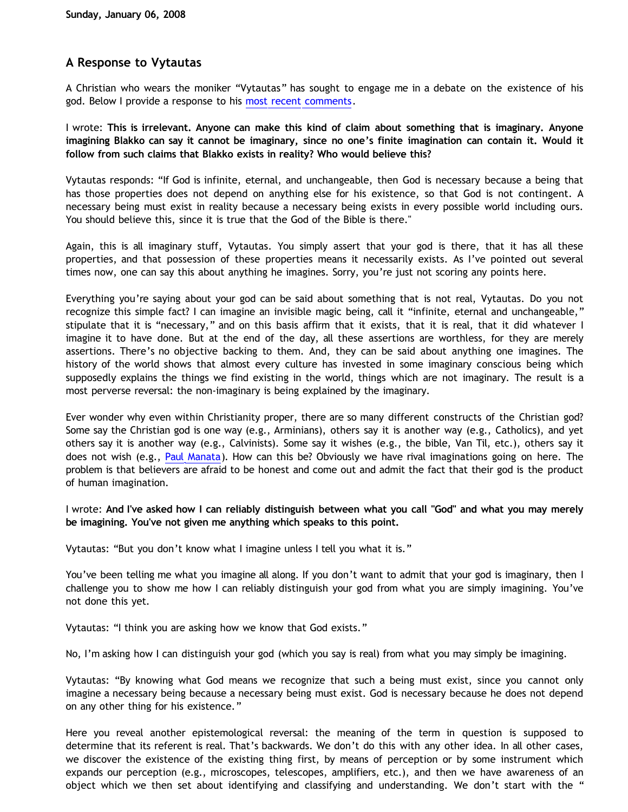## **A Response to Vytautas**

A Christian who wears the moniker "Vytautas" has sought to engage me in a debate on the existence of his god. Below I provide a response to his [most recent comments.](http://bahnsenburner.blogspot.com/2007/12/my-chat-with-presuppositionalist.html)

I wrote: **This is irrelevant. Anyone can make this kind of claim about something that is imaginary. Anyone imagining Blakko can say it cannot be imaginary, since no one's finite imagination can contain it. Would it follow from such claims that Blakko exists in reality? Who would believe this?**

Vytautas responds: "If God is infinite, eternal, and unchangeable, then God is necessary because a being that has those properties does not depend on anything else for his existence, so that God is not contingent. A necessary being must exist in reality because a necessary being exists in every possible world including ours. You should believe this, since it is true that the God of the Bible is there."

Again, this is all imaginary stuff, Vytautas. You simply assert that your god is there, that it has all these properties, and that possession of these properties means it necessarily exists. As I've pointed out several times now, one can say this about anything he imagines. Sorry, you're just not scoring any points here.

Everything you're saying about your god can be said about something that is not real, Vytautas. Do you not recognize this simple fact? I can imagine an invisible magic being, call it "infinite, eternal and unchangeable," stipulate that it is "necessary," and on this basis affirm that it exists, that it is real, that it did whatever I imagine it to have done. But at the end of the day, all these assertions are worthless, for they are merely assertions. There's no objective backing to them. And, they can be said about anything one imagines. The history of the world shows that almost every culture has invested in some imaginary conscious being which supposedly explains the things we find existing in the world, things which are not imaginary. The result is a most perverse reversal: the non-imaginary is being explained by the imaginary.

Ever wonder why even within Christianity proper, there are so many different constructs of the Christian god? Some say the Christian god is one way (e.g., Arminians), others say it is another way (e.g., Catholics), and yet others say it is another way (e.g., Calvinists). Some say it wishes (e.g., the bible, Van Til, etc.), others say it does not wish (e.g., [Paul Manata](http://bahnsenburner.blogspot.com/2006/12/wishing-and-christian-deity.html)). How can this be? Obviously we have rival imaginations going on here. The problem is that believers are afraid to be honest and come out and admit the fact that their god is the product of human imagination.

I wrote: **And I've asked how I can reliably distinguish between what you call "God" and what you may merely be imagining. You've not given me anything which speaks to this point.**

Vytautas: "But you don't know what I imagine unless I tell you what it is."

You've been telling me what you imagine all along. If you don't want to admit that your god is imaginary, then I challenge you to show me how I can reliably distinguish your god from what you are simply imagining. You've not done this yet.

Vytautas: "I think you are asking how we know that God exists."

No, I'm asking how I can distinguish your god (which you say is real) from what you may simply be imagining.

Vytautas: "By knowing what God means we recognize that such a being must exist, since you cannot only imagine a necessary being because a necessary being must exist. God is necessary because he does not depend on any other thing for his existence."

Here you reveal another epistemological reversal: the meaning of the term in question is supposed to determine that its referent is real. That's backwards. We don't do this with any other idea. In all other cases, we discover the existence of the existing thing first, by means of perception or by some instrument which expands our perception (e.g., microscopes, telescopes, amplifiers, etc.), and then we have awareness of an object which we then set about identifying and classifying and understanding. We don't start with the "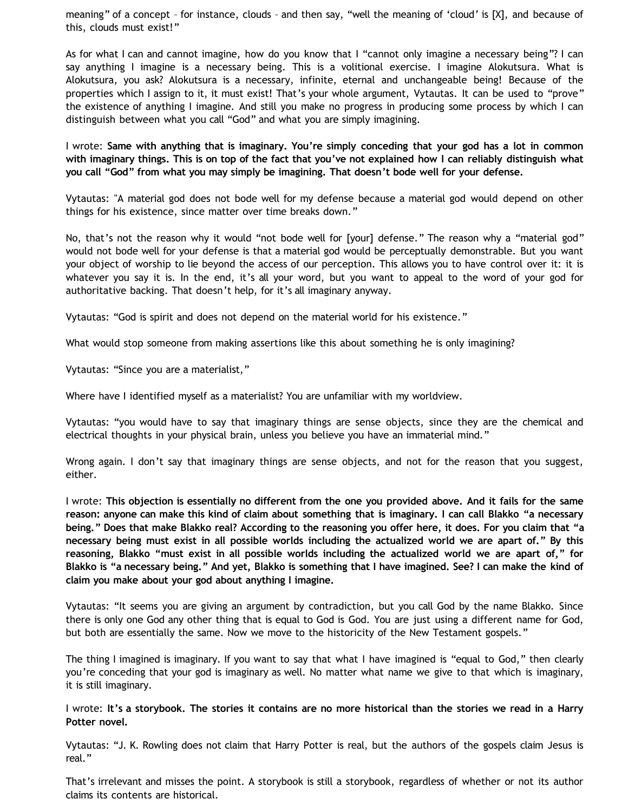meaning" of a concept – for instance, clouds – and then say, "well the meaning of 'cloud' is [X], and because of this, clouds must exist!"

As for what I can and cannot imagine, how do you know that I "cannot only imagine a necessary being"? I can say anything I imagine is a necessary being. This is a volitional exercise. I imagine Alokutsura. What is Alokutsura, you ask? Alokutsura is a necessary, infinite, eternal and unchangeable being! Because of the properties which I assign to it, it must exist! That's your whole argument, Vytautas. It can be used to "prove" the existence of anything I imagine. And still you make no progress in producing some process by which I can distinguish between what you call "God" and what you are simply imagining.

I wrote: **Same with anything that is imaginary. You're simply conceding that your god has a lot in common with imaginary things. This is on top of the fact that you've not explained how I can reliably distinguish what you call "God" from what you may simply be imagining. That doesn't bode well for your defense.**

Vytautas: "A material god does not bode well for my defense because a material god would depend on other things for his existence, since matter over time breaks down."

No, that's not the reason why it would "not bode well for [your] defense." The reason why a "material god" would not bode well for your defense is that a material god would be perceptually demonstrable. But you want your object of worship to lie beyond the access of our perception. This allows you to have control over it: it is whatever you say it is. In the end, it's all your word, but you want to appeal to the word of your god for authoritative backing. That doesn't help, for it's all imaginary anyway.

Vytautas: "God is spirit and does not depend on the material world for his existence."

What would stop someone from making assertions like this about something he is only imagining?

Vytautas: "Since you are a materialist,"

Where have I identified myself as a materialist? You are unfamiliar with my worldview.

Vytautas: "you would have to say that imaginary things are sense objects, since they are the chemical and electrical thoughts in your physical brain, unless you believe you have an immaterial mind."

Wrong again. I don't say that imaginary things are sense objects, and not for the reason that you suggest, either.

I wrote: **This objection is essentially no different from the one you provided above. And it fails for the same reason: anyone can make this kind of claim about something that is imaginary. I can call Blakko "a necessary being." Does that make Blakko real? According to the reasoning you offer here, it does. For you claim that "a necessary being must exist in all possible worlds including the actualized world we are apart of." By this reasoning, Blakko "must exist in all possible worlds including the actualized world we are apart of," for Blakko is "a necessary being." And yet, Blakko is something that I have imagined. See? I can make the kind of claim you make about your god about anything I imagine.**

Vytautas: "It seems you are giving an argument by contradiction, but you call God by the name Blakko. Since there is only one God any other thing that is equal to God is God. You are just using a different name for God, but both are essentially the same. Now we move to the historicity of the New Testament gospels."

The thing I imagined is imaginary. If you want to say that what I have imagined is "equal to God," then clearly you're conceding that your god is imaginary as well. No matter what name we give to that which is imaginary, it is still imaginary.

I wrote: **It's a storybook. The stories it contains are no more historical than the stories we read in a Harry Potter novel.**

Vytautas: "J. K. Rowling does not claim that Harry Potter is real, but the authors of the gospels claim Jesus is real."

That's irrelevant and misses the point. A storybook is still a storybook, regardless of whether or not its author claims its contents are historical.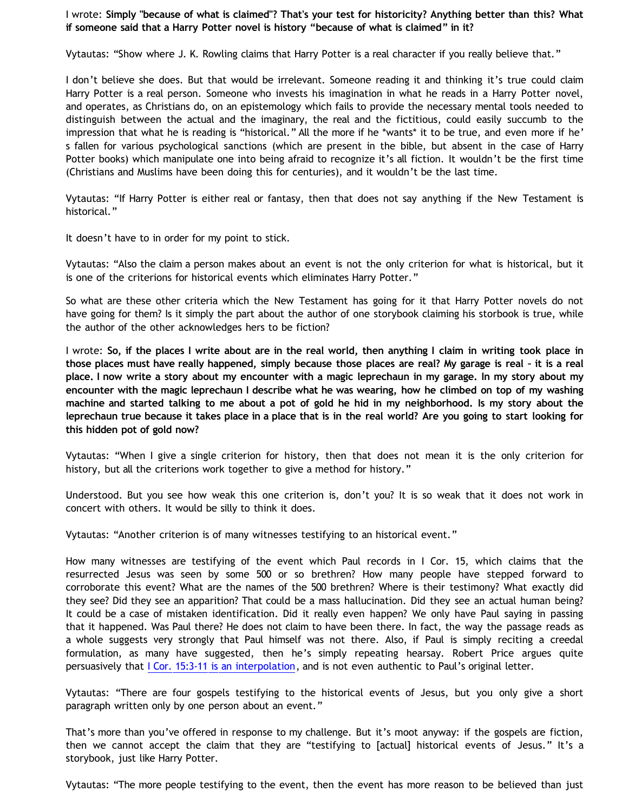## I wrote: **Simply "because of what is claimed"? That's your test for historicity? Anything better than this? What if someone said that a Harry Potter novel is history "because of what is claimed" in it?**

Vytautas: "Show where J. K. Rowling claims that Harry Potter is a real character if you really believe that."

I don't believe she does. But that would be irrelevant. Someone reading it and thinking it's true could claim Harry Potter is a real person. Someone who invests his imagination in what he reads in a Harry Potter novel, and operates, as Christians do, on an epistemology which fails to provide the necessary mental tools needed to distinguish between the actual and the imaginary, the real and the fictitious, could easily succumb to the impression that what he is reading is "historical." All the more if he \*wants\* it to be true, and even more if he' s fallen for various psychological sanctions (which are present in the bible, but absent in the case of Harry Potter books) which manipulate one into being afraid to recognize it's all fiction. It wouldn't be the first time (Christians and Muslims have been doing this for centuries), and it wouldn't be the last time.

Vytautas: "If Harry Potter is either real or fantasy, then that does not say anything if the New Testament is historical."

It doesn't have to in order for my point to stick.

Vytautas: "Also the claim a person makes about an event is not the only criterion for what is historical, but it is one of the criterions for historical events which eliminates Harry Potter."

So what are these other criteria which the New Testament has going for it that Harry Potter novels do not have going for them? Is it simply the part about the author of one storybook claiming his storbook is true, while the author of the other acknowledges hers to be fiction?

I wrote: **So, if the places I write about are in the real world, then anything I claim in writing took place in those places must have really happened, simply because those places are real? My garage is real – it is a real place. I now write a story about my encounter with a magic leprechaun in my garage. In my story about my encounter with the magic leprechaun I describe what he was wearing, how he climbed on top of my washing machine and started talking to me about a pot of gold he hid in my neighborhood. Is my story about the leprechaun true because it takes place in a place that is in the real world? Are you going to start looking for this hidden pot of gold now?**

Vytautas: "When I give a single criterion for history, then that does not mean it is the only criterion for history, but all the criterions work together to give a method for history."

Understood. But you see how weak this one criterion is, don't you? It is so weak that it does not work in concert with others. It would be silly to think it does.

Vytautas: "Another criterion is of many witnesses testifying to an historical event."

How many witnesses are testifying of the event which Paul records in I Cor. 15, which claims that the resurrected Jesus was seen by some 500 or so brethren? How many people have stepped forward to corroborate this event? What are the names of the 500 brethren? Where is their testimony? What exactly did they see? Did they see an apparition? That could be a mass hallucination. Did they see an actual human being? It could be a case of mistaken identification. Did it really even happen? We only have Paul saying in passing that it happened. Was Paul there? He does not claim to have been there. In fact, the way the passage reads as a whole suggests very strongly that Paul himself was not there. Also, if Paul is simply reciting a creedal formulation, as many have suggested, then he's simply repeating hearsay. Robert Price argues quite persuasively that [I Cor. 15:3-11 is an interpolation,](http://www.infidels.org/library/modern/robert_price/apocrypha.html) and is not even authentic to Paul's original letter.

Vytautas: "There are four gospels testifying to the historical events of Jesus, but you only give a short paragraph written only by one person about an event."

That's more than you've offered in response to my challenge. But it's moot anyway: if the gospels are fiction, then we cannot accept the claim that they are "testifying to [actual] historical events of Jesus." It's a storybook, just like Harry Potter.

Vytautas: "The more people testifying to the event, then the event has more reason to be believed than just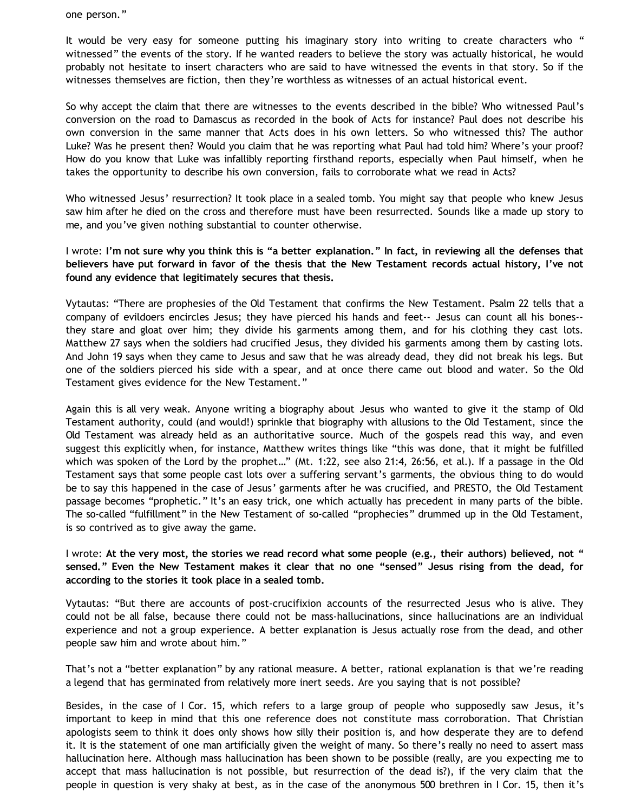one person."

It would be very easy for someone putting his imaginary story into writing to create characters who " witnessed" the events of the story. If he wanted readers to believe the story was actually historical, he would probably not hesitate to insert characters who are said to have witnessed the events in that story. So if the witnesses themselves are fiction, then they're worthless as witnesses of an actual historical event.

So why accept the claim that there are witnesses to the events described in the bible? Who witnessed Paul's conversion on the road to Damascus as recorded in the book of Acts for instance? Paul does not describe his own conversion in the same manner that Acts does in his own letters. So who witnessed this? The author Luke? Was he present then? Would you claim that he was reporting what Paul had told him? Where's your proof? How do you know that Luke was infallibly reporting firsthand reports, especially when Paul himself, when he takes the opportunity to describe his own conversion, fails to corroborate what we read in Acts?

Who witnessed Jesus' resurrection? It took place in a sealed tomb. You might say that people who knew Jesus saw him after he died on the cross and therefore must have been resurrected. Sounds like a made up story to me, and you've given nothing substantial to counter otherwise.

I wrote: **I'm not sure why you think this is "a better explanation." In fact, in reviewing all the defenses that believers have put forward in favor of the thesis that the New Testament records actual history, I've not found any evidence that legitimately secures that thesis.**

Vytautas: "There are prophesies of the Old Testament that confirms the New Testament. Psalm 22 tells that a company of evildoers encircles Jesus; they have pierced his hands and feet-- Jesus can count all his bones- they stare and gloat over him; they divide his garments among them, and for his clothing they cast lots. Matthew 27 says when the soldiers had crucified Jesus, they divided his garments among them by casting lots. And John 19 says when they came to Jesus and saw that he was already dead, they did not break his legs. But one of the soldiers pierced his side with a spear, and at once there came out blood and water. So the Old Testament gives evidence for the New Testament."

Again this is all very weak. Anyone writing a biography about Jesus who wanted to give it the stamp of Old Testament authority, could (and would!) sprinkle that biography with allusions to the Old Testament, since the Old Testament was already held as an authoritative source. Much of the gospels read this way, and even suggest this explicitly when, for instance, Matthew writes things like "this was done, that it might be fulfilled which was spoken of the Lord by the prophet…" (Mt. 1:22, see also 21:4, 26:56, et al.). If a passage in the Old Testament says that some people cast lots over a suffering servant's garments, the obvious thing to do would be to say this happened in the case of Jesus' garments after he was crucified, and PRESTO, the Old Testament passage becomes "prophetic." It's an easy trick, one which actually has precedent in many parts of the bible. The so-called "fulfillment" in the New Testament of so-called "prophecies" drummed up in the Old Testament, is so contrived as to give away the game.

I wrote: **At the very most, the stories we read record what some people (e.g., their authors) believed, not " sensed." Even the New Testament makes it clear that no one "sensed" Jesus rising from the dead, for according to the stories it took place in a sealed tomb.**

Vytautas: "But there are accounts of post-crucifixion accounts of the resurrected Jesus who is alive. They could not be all false, because there could not be mass-hallucinations, since hallucinations are an individual experience and not a group experience. A better explanation is Jesus actually rose from the dead, and other people saw him and wrote about him."

That's not a "better explanation" by any rational measure. A better, rational explanation is that we're reading a legend that has germinated from relatively more inert seeds. Are you saying that is not possible?

Besides, in the case of I Cor. 15, which refers to a large group of people who supposedly saw Jesus, it's important to keep in mind that this one reference does not constitute mass corroboration. That Christian apologists seem to think it does only shows how silly their position is, and how desperate they are to defend it. It is the statement of one man artificially given the weight of many. So there's really no need to assert mass hallucination here. Although mass hallucination has been shown to be possible (really, are you expecting me to accept that mass hallucination is not possible, but resurrection of the dead is?), if the very claim that the people in question is very shaky at best, as in the case of the anonymous 500 brethren in I Cor. 15, then it's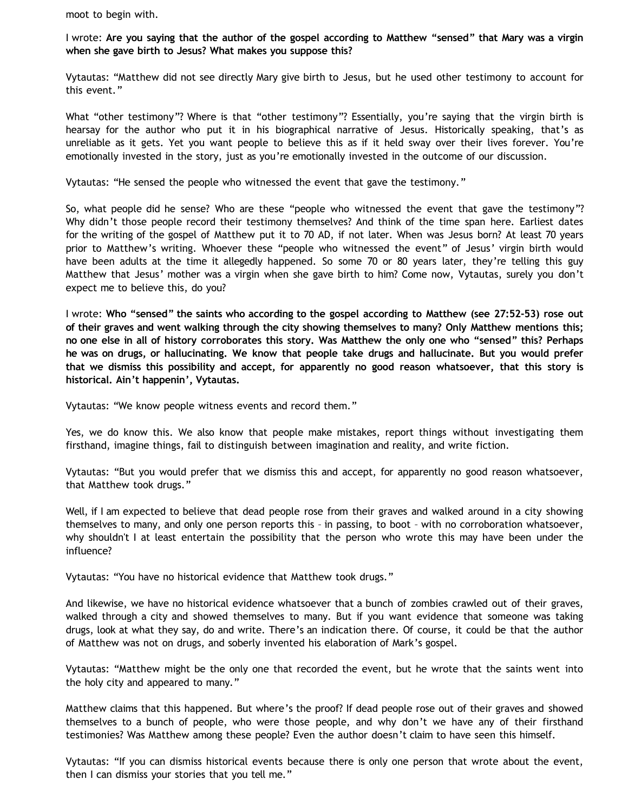moot to begin with.

I wrote: **Are you saying that the author of the gospel according to Matthew "sensed" that Mary was a virgin when she gave birth to Jesus? What makes you suppose this?**

Vytautas: "Matthew did not see directly Mary give birth to Jesus, but he used other testimony to account for this event."

What "other testimony"? Where is that "other testimony"? Essentially, you're saying that the virgin birth is hearsay for the author who put it in his biographical narrative of Jesus. Historically speaking, that's as unreliable as it gets. Yet you want people to believe this as if it held sway over their lives forever. You're emotionally invested in the story, just as you're emotionally invested in the outcome of our discussion.

Vytautas: "He sensed the people who witnessed the event that gave the testimony."

So, what people did he sense? Who are these "people who witnessed the event that gave the testimony"? Why didn't those people record their testimony themselves? And think of the time span here. Earliest dates for the writing of the gospel of Matthew put it to 70 AD, if not later. When was Jesus born? At least 70 years prior to Matthew's writing. Whoever these "people who witnessed the event" of Jesus' virgin birth would have been adults at the time it allegedly happened. So some 70 or 80 years later, they're telling this guy Matthew that Jesus' mother was a virgin when she gave birth to him? Come now, Vytautas, surely you don't expect me to believe this, do you?

I wrote: **Who "sensed" the saints who according to the gospel according to Matthew (see 27:52-53) rose out of their graves and went walking through the city showing themselves to many? Only Matthew mentions this; no one else in all of history corroborates this story. Was Matthew the only one who "sensed" this? Perhaps he was on drugs, or hallucinating. We know that people take drugs and hallucinate. But you would prefer that we dismiss this possibility and accept, for apparently no good reason whatsoever, that this story is historical. Ain't happenin', Vytautas.**

Vytautas: "We know people witness events and record them."

Yes, we do know this. We also know that people make mistakes, report things without investigating them firsthand, imagine things, fail to distinguish between imagination and reality, and write fiction.

Vytautas: "But you would prefer that we dismiss this and accept, for apparently no good reason whatsoever, that Matthew took drugs."

Well, if I am expected to believe that dead people rose from their graves and walked around in a city showing themselves to many, and only one person reports this – in passing, to boot – with no corroboration whatsoever, why shouldn't I at least entertain the possibility that the person who wrote this may have been under the influence?

Vytautas: "You have no historical evidence that Matthew took drugs."

And likewise, we have no historical evidence whatsoever that a bunch of zombies crawled out of their graves, walked through a city and showed themselves to many. But if you want evidence that someone was taking drugs, look at what they say, do and write. There's an indication there. Of course, it could be that the author of Matthew was not on drugs, and soberly invented his elaboration of Mark's gospel.

Vytautas: "Matthew might be the only one that recorded the event, but he wrote that the saints went into the holy city and appeared to many."

Matthew claims that this happened. But where's the proof? If dead people rose out of their graves and showed themselves to a bunch of people, who were those people, and why don't we have any of their firsthand testimonies? Was Matthew among these people? Even the author doesn't claim to have seen this himself.

Vytautas: "If you can dismiss historical events because there is only one person that wrote about the event, then I can dismiss your stories that you tell me."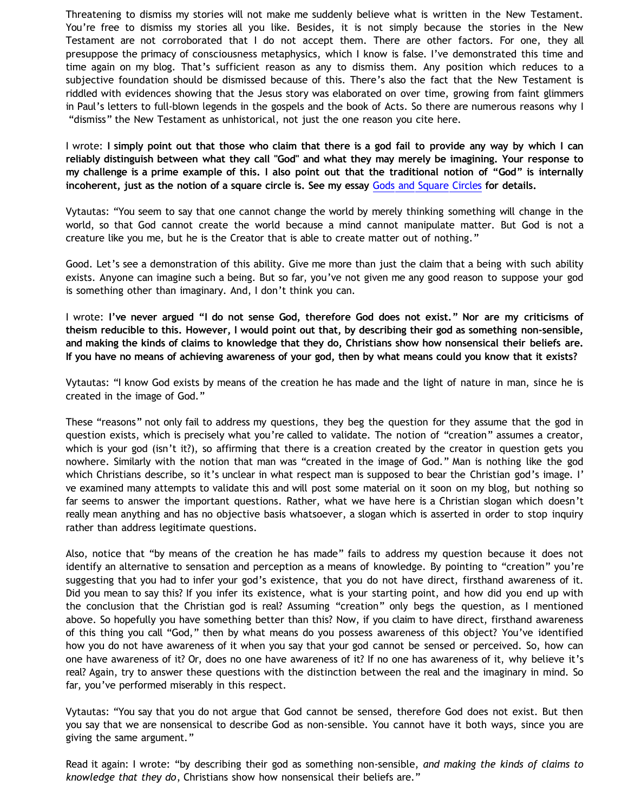Threatening to dismiss my stories will not make me suddenly believe what is written in the New Testament. You're free to dismiss my stories all you like. Besides, it is not simply because the stories in the New Testament are not corroborated that I do not accept them. There are other factors. For one, they all presuppose the primacy of consciousness metaphysics, which I know is false. I've demonstrated this time and time again on my blog. That's sufficient reason as any to dismiss them. Any position which reduces to a subjective foundation should be dismissed because of this. There's also the fact that the New Testament is riddled with evidences showing that the Jesus story was elaborated on over time, growing from faint glimmers in Paul's letters to full-blown legends in the gospels and the book of Acts. So there are numerous reasons why I "dismiss" the New Testament as unhistorical, not just the one reason you cite here.

I wrote: **I simply point out that those who claim that there is a god fail to provide any way by which I can reliably distinguish between what they call "God" and what they may merely be imagining. Your response to my challenge is a prime example of this. I also point out that the traditional notion of "God" is internally incoherent, just as the notion of a square circle is. See my essay** [Gods and Square Circles](http://www.geocities.com/katholon/squarecircles.htm) **for details.**

Vytautas: "You seem to say that one cannot change the world by merely thinking something will change in the world, so that God cannot create the world because a mind cannot manipulate matter. But God is not a creature like you me, but he is the Creator that is able to create matter out of nothing."

Good. Let's see a demonstration of this ability. Give me more than just the claim that a being with such ability exists. Anyone can imagine such a being. But so far, you've not given me any good reason to suppose your god is something other than imaginary. And, I don't think you can.

I wrote: **I've never argued "I do not sense God, therefore God does not exist." Nor are my criticisms of theism reducible to this. However, I would point out that, by describing their god as something non-sensible, and making the kinds of claims to knowledge that they do, Christians show how nonsensical their beliefs are. If you have no means of achieving awareness of your god, then by what means could you know that it exists?**

Vytautas: "I know God exists by means of the creation he has made and the light of nature in man, since he is created in the image of God."

These "reasons" not only fail to address my questions, they beg the question for they assume that the god in question exists, which is precisely what you're called to validate. The notion of "creation" assumes a creator, which is your god (isn't it?), so affirming that there is a creation created by the creator in question gets you nowhere. Similarly with the notion that man was "created in the image of God." Man is nothing like the god which Christians describe, so it's unclear in what respect man is supposed to bear the Christian god's image. I' ve examined many attempts to validate this and will post some material on it soon on my blog, but nothing so far seems to answer the important questions. Rather, what we have here is a Christian slogan which doesn't really mean anything and has no objective basis whatsoever, a slogan which is asserted in order to stop inquiry rather than address legitimate questions.

Also, notice that "by means of the creation he has made" fails to address my question because it does not identify an alternative to sensation and perception as a means of knowledge. By pointing to "creation" you're suggesting that you had to infer your god's existence, that you do not have direct, firsthand awareness of it. Did you mean to say this? If you infer its existence, what is your starting point, and how did you end up with the conclusion that the Christian god is real? Assuming "creation" only begs the question, as I mentioned above. So hopefully you have something better than this? Now, if you claim to have direct, firsthand awareness of this thing you call "God," then by what means do you possess awareness of this object? You've identified how you do not have awareness of it when you say that your god cannot be sensed or perceived. So, how can one have awareness of it? Or, does no one have awareness of it? If no one has awareness of it, why believe it's real? Again, try to answer these questions with the distinction between the real and the imaginary in mind. So far, you've performed miserably in this respect.

Vytautas: "You say that you do not argue that God cannot be sensed, therefore God does not exist. But then you say that we are nonsensical to describe God as non-sensible. You cannot have it both ways, since you are giving the same argument."

Read it again: I wrote: "by describing their god as something non-sensible, *and making the kinds of claims to knowledge that they do*, Christians show how nonsensical their beliefs are."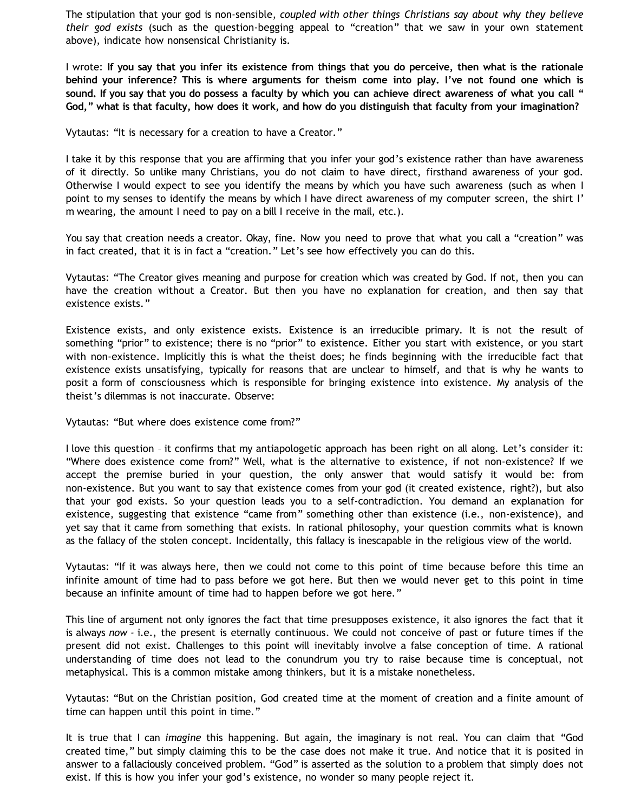The stipulation that your god is non-sensible, *coupled with other things Christians say about why they believe their god exists* (such as the question-begging appeal to "creation" that we saw in your own statement above), indicate how nonsensical Christianity is.

I wrote: **If you say that you infer its existence from things that you do perceive, then what is the rationale behind your inference? This is where arguments for theism come into play. I've not found one which is sound. If you say that you do possess a faculty by which you can achieve direct awareness of what you call " God," what is that faculty, how does it work, and how do you distinguish that faculty from your imagination?**

Vytautas: "It is necessary for a creation to have a Creator."

I take it by this response that you are affirming that you infer your god's existence rather than have awareness of it directly. So unlike many Christians, you do not claim to have direct, firsthand awareness of your god. Otherwise I would expect to see you identify the means by which you have such awareness (such as when I point to my senses to identify the means by which I have direct awareness of my computer screen, the shirt I' m wearing, the amount I need to pay on a bill I receive in the mail, etc.).

You say that creation needs a creator. Okay, fine. Now you need to prove that what you call a "creation" was in fact created, that it is in fact a "creation." Let's see how effectively you can do this.

Vytautas: "The Creator gives meaning and purpose for creation which was created by God. If not, then you can have the creation without a Creator. But then you have no explanation for creation, and then say that existence exists."

Existence exists, and only existence exists. Existence is an irreducible primary. It is not the result of something "prior" to existence; there is no "prior" to existence. Either you start with existence, or you start with non-existence. Implicitly this is what the theist does; he finds beginning with the irreducible fact that existence exists unsatisfying, typically for reasons that are unclear to himself, and that is why he wants to posit a form of consciousness which is responsible for bringing existence into existence. My analysis of the theist's dilemmas is not inaccurate. Observe:

Vytautas: "But where does existence come from?"

I love this question – it confirms that my antiapologetic approach has been right on all along. Let's consider it: "Where does existence come from?" Well, what is the alternative to existence, if not non-existence? If we accept the premise buried in your question, the only answer that would satisfy it would be: from non-existence. But you want to say that existence comes from your god (it created existence, right?), but also that your god exists. So your question leads you to a self-contradiction. You demand an explanation for existence, suggesting that existence "came from" something other than existence (i.e., non-existence), and yet say that it came from something that exists. In rational philosophy, your question commits what is known as the fallacy of the stolen concept. Incidentally, this fallacy is inescapable in the religious view of the world.

Vytautas: "If it was always here, then we could not come to this point of time because before this time an infinite amount of time had to pass before we got here. But then we would never get to this point in time because an infinite amount of time had to happen before we got here."

This line of argument not only ignores the fact that time presupposes existence, it also ignores the fact that it is always *now -* i.e., the present is eternally continuous. We could not conceive of past or future times if the present did not exist. Challenges to this point will inevitably involve a false conception of time. A rational understanding of time does not lead to the conundrum you try to raise because time is conceptual, not metaphysical. This is a common mistake among thinkers, but it is a mistake nonetheless.

Vytautas: "But on the Christian position, God created time at the moment of creation and a finite amount of time can happen until this point in time."

It is true that I can *imagine* this happening. But again, the imaginary is not real. You can claim that "God created time," but simply claiming this to be the case does not make it true. And notice that it is posited in answer to a fallaciously conceived problem. "God" is asserted as the solution to a problem that simply does not exist. If this is how you infer your god's existence, no wonder so many people reject it.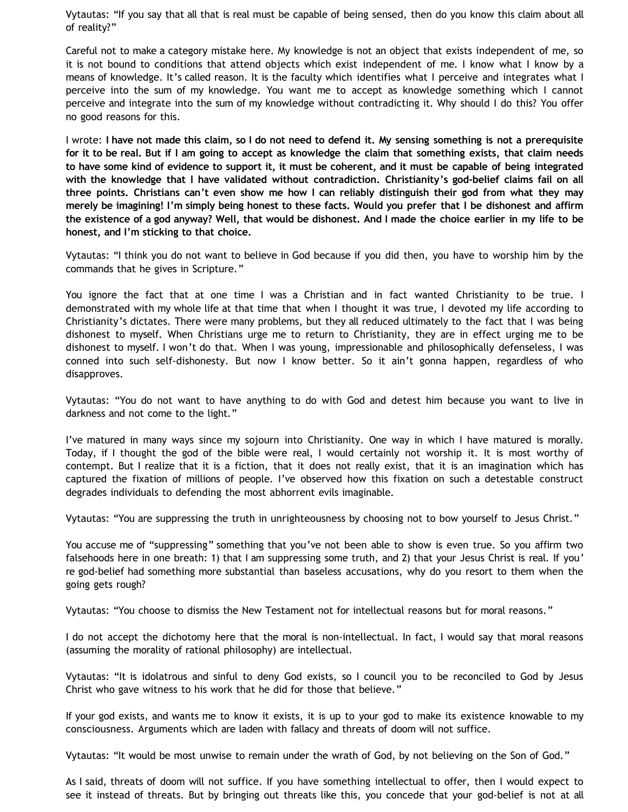Vytautas: "If you say that all that is real must be capable of being sensed, then do you know this claim about all of reality?"

Careful not to make a category mistake here. My knowledge is not an object that exists independent of me, so it is not bound to conditions that attend objects which exist independent of me. I know what I know by a means of knowledge. It's called reason. It is the faculty which identifies what I perceive and integrates what I perceive into the sum of my knowledge. You want me to accept as knowledge something which I cannot perceive and integrate into the sum of my knowledge without contradicting it. Why should I do this? You offer no good reasons for this.

I wrote: **I have not made this claim, so I do not need to defend it. My sensing something is not a prerequisite for it to be real. But if I am going to accept as knowledge the claim that something exists, that claim needs to have some kind of evidence to support it, it must be coherent, and it must be capable of being integrated with the knowledge that I have validated without contradiction. Christianity's god-belief claims fail on all three points. Christians can't even show me how I can reliably distinguish their god from what they may merely be imagining! I'm simply being honest to these facts. Would you prefer that I be dishonest and affirm the existence of a god anyway? Well, that would be dishonest. And I made the choice earlier in my life to be honest, and I'm sticking to that choice.**

Vytautas: "I think you do not want to believe in God because if you did then, you have to worship him by the commands that he gives in Scripture."

You ignore the fact that at one time I was a Christian and in fact wanted Christianity to be true. I demonstrated with my whole life at that time that when I thought it was true, I devoted my life according to Christianity's dictates. There were many problems, but they all reduced ultimately to the fact that I was being dishonest to myself. When Christians urge me to return to Christianity, they are in effect urging me to be dishonest to myself. I won't do that. When I was young, impressionable and philosophically defenseless, I was conned into such self-dishonesty. But now I know better. So it ain't gonna happen, regardless of who disapproves.

Vytautas: "You do not want to have anything to do with God and detest him because you want to live in darkness and not come to the light."

I've matured in many ways since my sojourn into Christianity. One way in which I have matured is morally. Today, if I thought the god of the bible were real, I would certainly not worship it. It is most worthy of contempt. But I realize that it is a fiction, that it does not really exist, that it is an imagination which has captured the fixation of millions of people. I've observed how this fixation on such a detestable construct degrades individuals to defending the most abhorrent evils imaginable.

Vytautas: "You are suppressing the truth in unrighteousness by choosing not to bow yourself to Jesus Christ."

You accuse me of "suppressing" something that you've not been able to show is even true. So you affirm two falsehoods here in one breath: 1) that I am suppressing some truth, and 2) that your Jesus Christ is real. If you' re god-belief had something more substantial than baseless accusations, why do you resort to them when the going gets rough?

Vytautas: "You choose to dismiss the New Testament not for intellectual reasons but for moral reasons."

I do not accept the dichotomy here that the moral is non-intellectual. In fact, I would say that moral reasons (assuming the morality of rational philosophy) are intellectual.

Vytautas: "It is idolatrous and sinful to deny God exists, so I council you to be reconciled to God by Jesus Christ who gave witness to his work that he did for those that believe."

If your god exists, and wants me to know it exists, it is up to your god to make its existence knowable to my consciousness. Arguments which are laden with fallacy and threats of doom will not suffice.

Vytautas: "It would be most unwise to remain under the wrath of God, by not believing on the Son of God."

As I said, threats of doom will not suffice. If you have something intellectual to offer, then I would expect to see it instead of threats. But by bringing out threats like this, you concede that your god-belief is not at all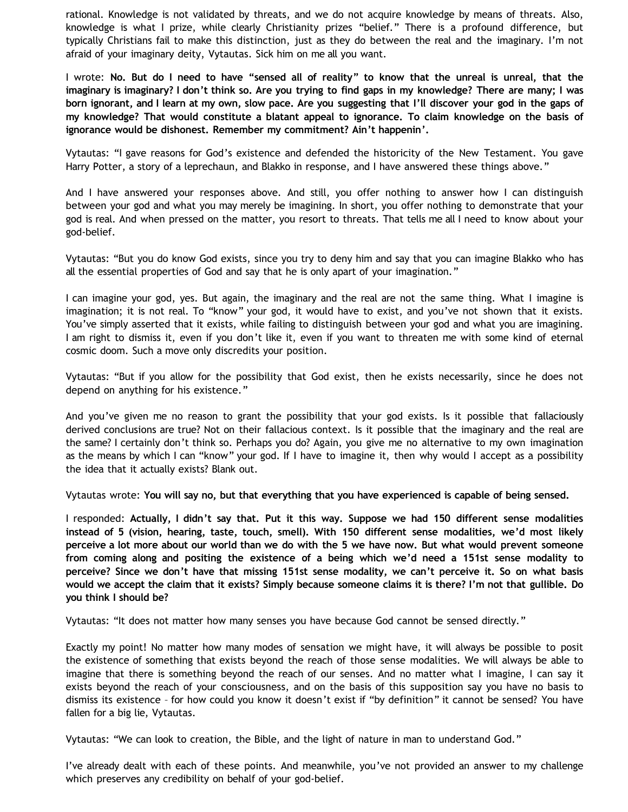rational. Knowledge is not validated by threats, and we do not acquire knowledge by means of threats. Also, knowledge is what I prize, while clearly Christianity prizes "belief." There is a profound difference, but typically Christians fail to make this distinction, just as they do between the real and the imaginary. I'm not afraid of your imaginary deity, Vytautas. Sick him on me all you want.

I wrote: **No. But do I need to have "sensed all of reality" to know that the unreal is unreal, that the imaginary is imaginary? I don't think so. Are you trying to find gaps in my knowledge? There are many; I was born ignorant, and I learn at my own, slow pace. Are you suggesting that I'll discover your god in the gaps of my knowledge? That would constitute a blatant appeal to ignorance. To claim knowledge on the basis of ignorance would be dishonest. Remember my commitment? Ain't happenin'.**

Vytautas: "I gave reasons for God's existence and defended the historicity of the New Testament. You gave Harry Potter, a story of a leprechaun, and Blakko in response, and I have answered these things above."

And I have answered your responses above. And still, you offer nothing to answer how I can distinguish between your god and what you may merely be imagining. In short, you offer nothing to demonstrate that your god is real. And when pressed on the matter, you resort to threats. That tells me all I need to know about your god-belief.

Vytautas: "But you do know God exists, since you try to deny him and say that you can imagine Blakko who has all the essential properties of God and say that he is only apart of your imagination."

I can imagine your god, yes. But again, the imaginary and the real are not the same thing. What I imagine is imagination; it is not real. To "know" your god, it would have to exist, and you've not shown that it exists. You've simply asserted that it exists, while failing to distinguish between your god and what you are imagining. I am right to dismiss it, even if you don't like it, even if you want to threaten me with some kind of eternal cosmic doom. Such a move only discredits your position.

Vytautas: "But if you allow for the possibility that God exist, then he exists necessarily, since he does not depend on anything for his existence."

And you've given me no reason to grant the possibility that your god exists. Is it possible that fallaciously derived conclusions are true? Not on their fallacious context. Is it possible that the imaginary and the real are the same? I certainly don't think so. Perhaps you do? Again, you give me no alternative to my own imagination as the means by which I can "know" your god. If I have to imagine it, then why would I accept as a possibility the idea that it actually exists? Blank out.

Vytautas wrote: **You will say no, but that everything that you have experienced is capable of being sensed.**

I responded: **Actually, I didn't say that. Put it this way. Suppose we had 150 different sense modalities instead of 5 (vision, hearing, taste, touch, smell). With 150 different sense modalities, we'd most likely perceive a lot more about our world than we do with the 5 we have now. But what would prevent someone from coming along and positing the existence of a being which we'd need a 151st sense modality to perceive? Since we don't have that missing 151st sense modality, we can't perceive it. So on what basis would we accept the claim that it exists? Simply because someone claims it is there? I'm not that gullible. Do you think I should be?**

Vytautas: "It does not matter how many senses you have because God cannot be sensed directly."

Exactly my point! No matter how many modes of sensation we might have, it will always be possible to posit the existence of something that exists beyond the reach of those sense modalities. We will always be able to imagine that there is something beyond the reach of our senses. And no matter what I imagine, I can say it exists beyond the reach of your consciousness, and on the basis of this supposition say you have no basis to dismiss its existence – for how could you know it doesn't exist if "by definition" it cannot be sensed? You have fallen for a big lie, Vytautas.

Vytautas: "We can look to creation, the Bible, and the light of nature in man to understand God."

I've already dealt with each of these points. And meanwhile, you've not provided an answer to my challenge which preserves any credibility on behalf of your god-belief.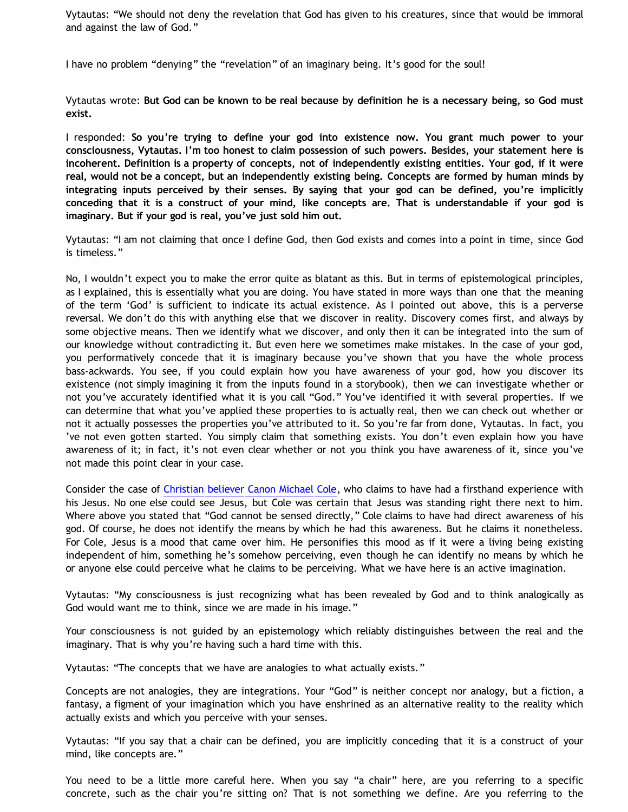Vytautas: "We should not deny the revelation that God has given to his creatures, since that would be immoral and against the law of God."

I have no problem "denying" the "revelation" of an imaginary being. It's good for the soul!

Vytautas wrote: **But God can be known to be real because by definition he is a necessary being, so God must exist.**

I responded: **So you're trying to define your god into existence now. You grant much power to your consciousness, Vytautas. I'm too honest to claim possession of such powers. Besides, your statement here is incoherent. Definition is a property of concepts, not of independently existing entities. Your god, if it were real, would not be a concept, but an independently existing being. Concepts are formed by human minds by integrating inputs perceived by their senses. By saying that your god can be defined, you're implicitly conceding that it is a construct of your mind, like concepts are. That is understandable if your god is imaginary. But if your god is real, you've just sold him out.**

Vytautas: "I am not claiming that once I define God, then God exists and comes into a point in time, since God is timeless."

No, I wouldn't expect you to make the error quite as blatant as this. But in terms of epistemological principles, as I explained, this is essentially what you are doing. You have stated in more ways than one that the meaning of the term 'God' is sufficient to indicate its actual existence. As I pointed out above, this is a perverse reversal. We don't do this with anything else that we discover in reality. Discovery comes first, and always by some objective means. Then we identify what we discover, and only then it can be integrated into the sum of our knowledge without contradicting it. But even here we sometimes make mistakes. In the case of your god, you performatively concede that it is imaginary because you've shown that you have the whole process bass-ackwards. You see, if you could explain how you have awareness of your god, how you discover its existence (not simply imagining it from the inputs found in a storybook), then we can investigate whether or not you've accurately identified what it is you call "God." You've identified it with several properties. If we can determine that what you've applied these properties to is actually real, then we can check out whether or not it actually possesses the properties you've attributed to it. So you're far from done, Vytautas. In fact, you 've not even gotten started. You simply claim that something exists. You don't even explain how you have awareness of it; in fact, it's not even clear whether or not you think you have awareness of it, since you've not made this point clear in your case.

Consider the case of [Christian believer Canon Michael Cole,](http://bahnsenburner.blogspot.com/2006/06/carr-vs-cole.html) who claims to have had a firsthand experience with his Jesus. No one else could see Jesus, but Cole was certain that Jesus was standing right there next to him. Where above you stated that "God cannot be sensed directly," Cole claims to have had direct awareness of his god. Of course, he does not identify the means by which he had this awareness. But he claims it nonetheless. For Cole, Jesus is a mood that came over him. He personifies this mood as if it were a living being existing independent of him, something he's somehow perceiving, even though he can identify no means by which he or anyone else could perceive what he claims to be perceiving. What we have here is an active imagination.

Vytautas: "My consciousness is just recognizing what has been revealed by God and to think analogically as God would want me to think, since we are made in his image."

Your consciousness is not guided by an epistemology which reliably distinguishes between the real and the imaginary. That is why you're having such a hard time with this.

Vytautas: "The concepts that we have are analogies to what actually exists."

Concepts are not analogies, they are integrations. Your "God" is neither concept nor analogy, but a fiction, a fantasy, a figment of your imagination which you have enshrined as an alternative reality to the reality which actually exists and which you perceive with your senses.

Vytautas: "If you say that a chair can be defined, you are implicitly conceding that it is a construct of your mind, like concepts are."

You need to be a little more careful here. When you say "a chair" here, are you referring to a specific concrete, such as the chair you're sitting on? That is not something we define. Are you referring to the